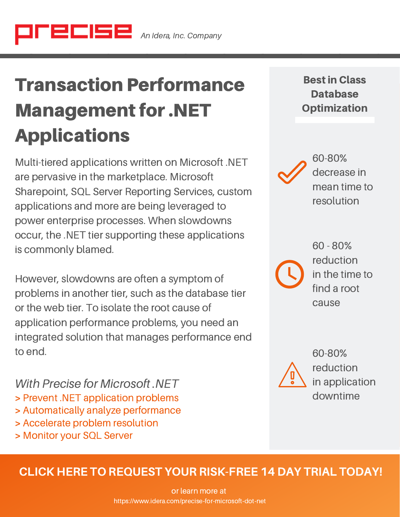# Transaction Performance Management for .NET Applications

Multi-tiered applications written on Microsoft .NET are pervasive in the marketplace. Microsoft Sharepoint, SQL Server Reporting Services, custom applications and more are being leveraged to power enterprise processes. When slowdowns occur, the .NET tier supporting these applications is commonly blamed.

However, slowdowns are often a symptom of problems in another tier, such as the database tier or the web tier. To isolate the root cause of application performance problems, you need an integrated solution that manages performance end to end.

With Precise for Microsoft .NFT > Prevent .NET application problems > Automatically analyze performance > Accelerate problem resolution

> Monitor your SQL Server

Bestin Class **Database Optimization** 



60-80% decrease in mean time to resolution

60 - 80% reduction in the time to find a root cause



60-80% reduction in application downtime

## CLICK HERE TO REQUEST YOUR [RISK-FREE](https://www.idera.com/application-performance-monitoring/preciserequestadownload?utm_medium=inasset&utm_content=pdf&utm_source=datasheet&utm_campaign=precisefordotnet) 14 DAY TRIAL TODAY!

or learn more at https://[www.idera.com](https://www.idera.com/precise-for-microsoft-dot-net?utm_medium=inasset&utm_content=pdf&utm_source=datasheet&utm_campaign=precisefordotnet)/precise-for-microsoft-dot-net